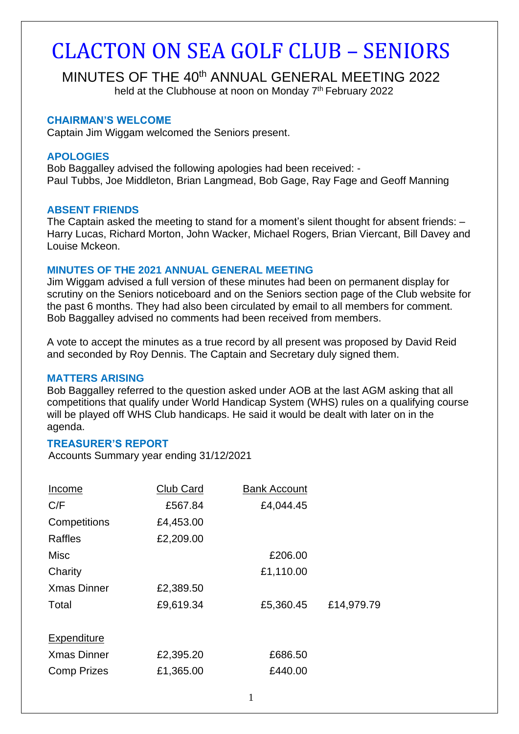# CLACTON ON SEA GOLF CLUB – SENIORS

# MINUTES OF THE 40<sup>th</sup> ANNUAL GENERAL MEETING 2022

held at the Clubhouse at noon on Monday 7<sup>th</sup> February 2022

#### **CHAIRMAN'S WELCOME**

Captain Jim Wiggam welcomed the Seniors present.

#### **APOLOGIES**

Bob Baggalley advised the following apologies had been received: - Paul Tubbs, Joe Middleton, Brian Langmead, Bob Gage, Ray Fage and Geoff Manning

#### **ABSENT FRIENDS**

The Captain asked the meeting to stand for a moment's silent thought for absent friends: – Harry Lucas, Richard Morton, John Wacker, Michael Rogers, Brian Viercant, Bill Davey and Louise Mckeon.

#### **MINUTES OF THE 2021 ANNUAL GENERAL MEETING**

Jim Wiggam advised a full version of these minutes had been on permanent display for scrutiny on the Seniors noticeboard and on the Seniors section page of the Club website for the past 6 months. They had also been circulated by email to all members for comment. Bob Baggalley advised no comments had been received from members.

A vote to accept the minutes as a true record by all present was proposed by David Reid and seconded by Roy Dennis. The Captain and Secretary duly signed them.

### **MATTERS ARISING**

Bob Baggalley referred to the question asked under AOB at the last AGM asking that all competitions that qualify under World Handicap System (WHS) rules on a qualifying course will be played off WHS Club handicaps. He said it would be dealt with later on in the agenda.

#### **TREASURER'S REPORT**

Accounts Summary year ending 31/12/2021

| Income             | Club Card | <b>Bank Account</b> |            |
|--------------------|-----------|---------------------|------------|
| C/F                | £567.84   | £4,044.45           |            |
| Competitions       | £4,453.00 |                     |            |
| Raffles            | £2,209.00 |                     |            |
| Misc               |           | £206.00             |            |
| Charity            |           | £1,110.00           |            |
| <b>Xmas Dinner</b> | £2,389.50 |                     |            |
| Total              | £9,619.34 | £5,360.45           | £14,979.79 |
| Expenditure        |           |                     |            |
| <b>Xmas Dinner</b> | £2,395.20 | £686.50             |            |
| <b>Comp Prizes</b> | £1,365.00 | £440.00             |            |
|                    |           |                     |            |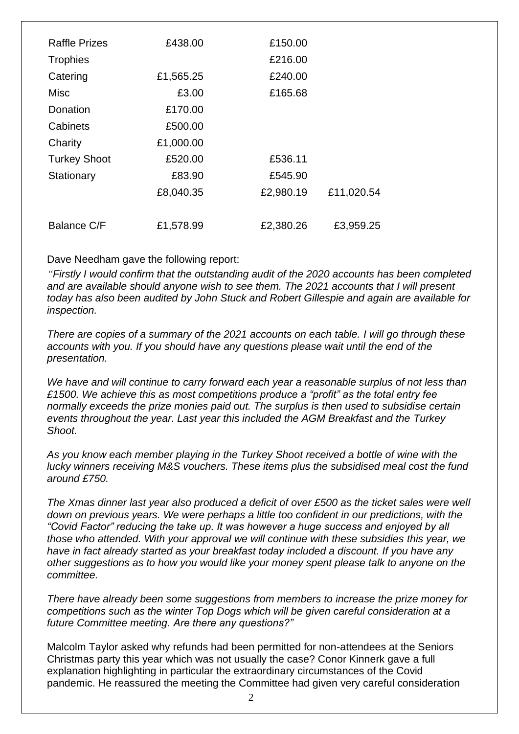| <b>Raffle Prizes</b> | £438.00   | £150.00   |            |  |
|----------------------|-----------|-----------|------------|--|
| <b>Trophies</b>      |           | £216.00   |            |  |
| Catering             | £1,565.25 | £240.00   |            |  |
| Misc                 | £3.00     | £165.68   |            |  |
| Donation             | £170.00   |           |            |  |
| Cabinets             | £500.00   |           |            |  |
| Charity              | £1,000.00 |           |            |  |
| <b>Turkey Shoot</b>  | £520.00   | £536.11   |            |  |
| Stationary           | £83.90    | £545.90   |            |  |
|                      | £8,040.35 | £2,980.19 | £11,020.54 |  |
|                      |           |           |            |  |
| <b>Balance C/F</b>   | £1,578.99 | £2,380.26 | £3,959.25  |  |

# Dave Needham gave the following report:

*"Firstly I would confirm that the outstanding audit of the 2020 accounts has been completed and are available should anyone wish to see them. The 2021 accounts that I will present today has also been audited by John Stuck and Robert Gillespie and again are available for inspection.*

*There are copies of a summary of the 2021 accounts on each table. I will go through these accounts with you. If you should have any questions please wait until the end of the presentation.*

*We have and will continue to carry forward each year a reasonable surplus of not less than £1500. We achieve this as most competitions produce a "profit" as the total entry fee normally exceeds the prize monies paid out. The surplus is then used to subsidise certain events throughout the year. Last year this included the AGM Breakfast and the Turkey Shoot.* 

*As you know each member playing in the Turkey Shoot received a bottle of wine with the lucky winners receiving M&S vouchers. These items plus the subsidised meal cost the fund around £750.* 

*The Xmas dinner last year also produced a deficit of over £500 as the ticket sales were well down on previous years. We were perhaps a little too confident in our predictions, with the "Covid Factor" reducing the take up. It was however a huge success and enjoyed by all those who attended. With your approval we will continue with these subsidies this year, we have in fact already started as your breakfast today included a discount. If you have any other suggestions as to how you would like your money spent please talk to anyone on the committee.* 

*There have already been some suggestions from members to increase the prize money for competitions such as the winter Top Dogs which will be given careful consideration at a future Committee meeting. Are there any questions?"*

Malcolm Taylor asked why refunds had been permitted for non-attendees at the Seniors Christmas party this year which was not usually the case? Conor Kinnerk gave a full explanation highlighting in particular the extraordinary circumstances of the Covid pandemic. He reassured the meeting the Committee had given very careful consideration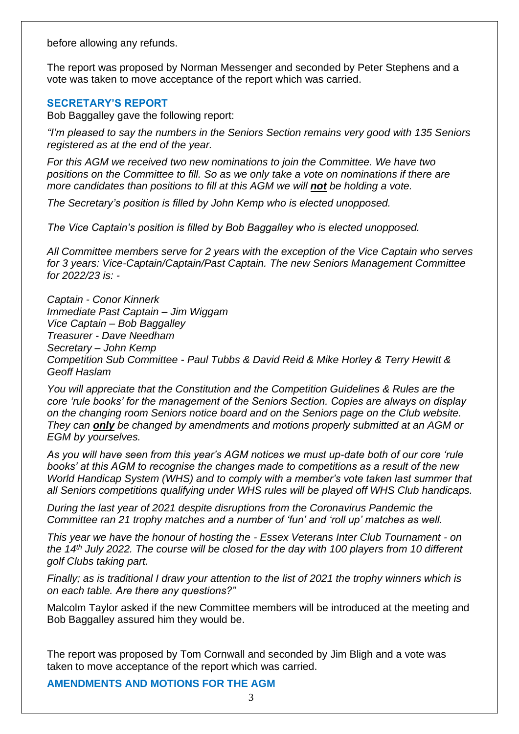before allowing any refunds.

The report was proposed by Norman Messenger and seconded by Peter Stephens and a vote was taken to move acceptance of the report which was carried.

# **SECRETARY'S REPORT**

Bob Baggalley gave the following report:

*"I'm pleased to say the numbers in the Seniors Section remains very good with 135 Seniors registered as at the end of the year.* 

*For this AGM we received two new nominations to join the Committee. We have two positions on the Committee to fill. So as we only take a vote on nominations if there are more candidates than positions to fill at this AGM we will not be holding a vote.* 

*The Secretary's position is filled by John Kemp who is elected unopposed.*

*The Vice Captain's position is filled by Bob Baggalley who is elected unopposed.*

*All Committee members serve for 2 years with the exception of the Vice Captain who serves for 3 years: Vice-Captain/Captain/Past Captain. The new Seniors Management Committee for 2022/23 is: -*

*Captain - Conor Kinnerk Immediate Past Captain – Jim Wiggam Vice Captain – Bob Baggalley Treasurer - Dave Needham Secretary – John Kemp Competition Sub Committee - Paul Tubbs & David Reid & Mike Horley & Terry Hewitt & Geoff Haslam*

*You will appreciate that the Constitution and the Competition Guidelines & Rules are the core 'rule books' for the management of the Seniors Section. Copies are always on display on the changing room Seniors notice board and on the Seniors page on the Club website. They can only be changed by amendments and motions properly submitted at an AGM or EGM by yourselves.*

*As you will have seen from this year's AGM notices we must up-date both of our core 'rule books' at this AGM to recognise the changes made to competitions as a result of the new World Handicap System (WHS) and to comply with a member's vote taken last summer that all Seniors competitions qualifying under WHS rules will be played off WHS Club handicaps.*

*During the last year of 2021 despite disruptions from the Coronavirus Pandemic the Committee ran 21 trophy matches and a number of 'fun' and 'roll up' matches as well.* 

*This year we have the honour of hosting the - Essex Veterans Inter Club Tournament - on the 14th July 2022. The course will be closed for the day with 100 players from 10 different golf Clubs taking part.* 

*Finally; as is traditional I draw your attention to the list of 2021 the trophy winners which is on each table. Are there any questions?"*

Malcolm Taylor asked if the new Committee members will be introduced at the meeting and Bob Baggalley assured him they would be.

The report was proposed by Tom Cornwall and seconded by Jim Bligh and a vote was taken to move acceptance of the report which was carried.

**AMENDMENTS AND MOTIONS FOR THE AGM**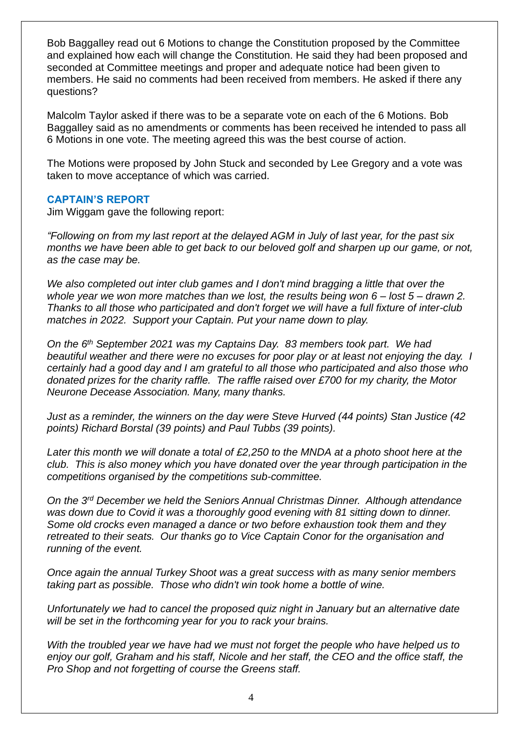Bob Baggalley read out 6 Motions to change the Constitution proposed by the Committee and explained how each will change the Constitution. He said they had been proposed and seconded at Committee meetings and proper and adequate notice had been given to members. He said no comments had been received from members. He asked if there any questions?

Malcolm Taylor asked if there was to be a separate vote on each of the 6 Motions. Bob Baggalley said as no amendments or comments has been received he intended to pass all 6 Motions in one vote. The meeting agreed this was the best course of action.

The Motions were proposed by John Stuck and seconded by Lee Gregory and a vote was taken to move acceptance of which was carried.

### **CAPTAIN'S REPORT**

Jim Wiggam gave the following report:

*"Following on from my last report at the delayed AGM in July of last year, for the past six months we have been able to get back to our beloved golf and sharpen up our game, or not, as the case may be.*

*We also completed out inter club games and I don't mind bragging a little that over the whole year we won more matches than we lost, the results being won 6 – lost 5 – drawn 2. Thanks to all those who participated and don't forget we will have a full fixture of inter-club matches in 2022. Support your Captain. Put your name down to play.*

*On the 6th September 2021 was my Captains Day. 83 members took part. We had beautiful weather and there were no excuses for poor play or at least not enjoying the day. I certainly had a good day and I am grateful to all those who participated and also those who donated prizes for the charity raffle. The raffle raised over £700 for my charity, the Motor Neurone Decease Association. Many, many thanks.*

*Just as a reminder, the winners on the day were Steve Hurved (44 points) Stan Justice (42 points) Richard Borstal (39 points) and Paul Tubbs (39 points).*

*Later this month we will donate a total of £2,250 to the MNDA at a photo shoot here at the club. This is also money which you have donated over the year through participation in the competitions organised by the competitions sub-committee.*

*On the 3rd December we held the Seniors Annual Christmas Dinner. Although attendance was down due to Covid it was a thoroughly good evening with 81 sitting down to dinner. Some old crocks even managed a dance or two before exhaustion took them and they retreated to their seats. Our thanks go to Vice Captain Conor for the organisation and running of the event.*

*Once again the annual Turkey Shoot was a great success with as many senior members taking part as possible. Those who didn't win took home a bottle of wine.*

*Unfortunately we had to cancel the proposed quiz night in January but an alternative date will be set in the forthcoming year for you to rack your brains.*

*With the troubled year we have had we must not forget the people who have helped us to enjoy our golf, Graham and his staff, Nicole and her staff, the CEO and the office staff, the Pro Shop and not forgetting of course the Greens staff.*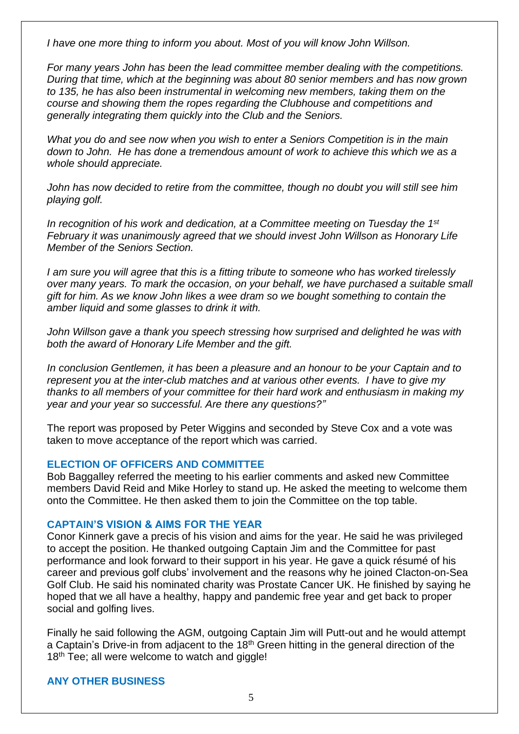*I have one more thing to inform you about. Most of you will know John Willson.*

*For many years John has been the lead committee member dealing with the competitions. During that time, which at the beginning was about 80 senior members and has now grown to 135, he has also been instrumental in welcoming new members, taking them on the course and showing them the ropes regarding the Clubhouse and competitions and generally integrating them quickly into the Club and the Seniors.*

*What you do and see now when you wish to enter a Seniors Competition is in the main down to John. He has done a tremendous amount of work to achieve this which we as a whole should appreciate.*

*John has now decided to retire from the committee, though no doubt you will still see him playing golf.*

*In recognition of his work and dedication, at a Committee meeting on Tuesday the 1st February it was unanimously agreed that we should invest John Willson as Honorary Life Member of the Seniors Section.*

*I am sure you will agree that this is a fitting tribute to someone who has worked tirelessly over many years. To mark the occasion, on your behalf, we have purchased a suitable small gift for him. As we know John likes a wee dram so we bought something to contain the amber liquid and some glasses to drink it with.*

*John Willson gave a thank you speech stressing how surprised and delighted he was with both the award of Honorary Life Member and the gift.* 

*In conclusion Gentlemen, it has been a pleasure and an honour to be your Captain and to represent you at the inter-club matches and at various other events. I have to give my thanks to all members of your committee for their hard work and enthusiasm in making my year and your year so successful. Are there any questions?"*

The report was proposed by Peter Wiggins and seconded by Steve Cox and a vote was taken to move acceptance of the report which was carried.

# **ELECTION OF OFFICERS AND COMMITTEE**

Bob Baggalley referred the meeting to his earlier comments and asked new Committee members David Reid and Mike Horley to stand up. He asked the meeting to welcome them onto the Committee. He then asked them to join the Committee on the top table.

#### **CAPTAIN'S VISION & AIMS FOR THE YEAR**

Conor Kinnerk gave a precis of his vision and aims for the year. He said he was privileged to accept the position. He thanked outgoing Captain Jim and the Committee for past performance and look forward to their support in his year. He gave a quick résumé of his career and previous golf clubs' involvement and the reasons why he joined Clacton-on-Sea Golf Club. He said his nominated charity was Prostate Cancer UK. He finished by saying he hoped that we all have a healthy, happy and pandemic free year and get back to proper social and golfing lives.

Finally he said following the AGM, outgoing Captain Jim will Putt-out and he would attempt a Captain's Drive-in from adjacent to the 18<sup>th</sup> Green hitting in the general direction of the 18<sup>th</sup> Tee; all were welcome to watch and giggle!

# **ANY OTHER BUSINESS**